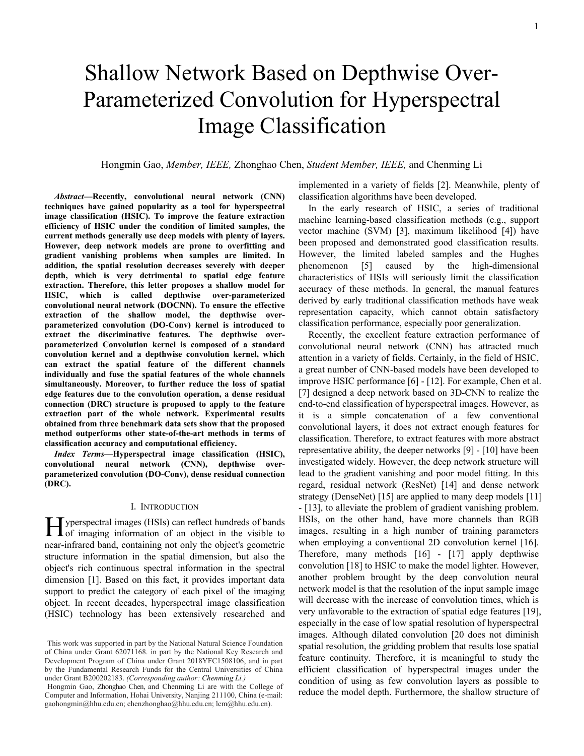# Shallow Network Based on Depthwise Over-Parameterized Convolution for Hyperspectral Image Classification

# Hongmin Gao, *Member, IEEE,* Zhonghao Chen, *Student Member, IEEE,* and Chenming Li

*Abstract—***Recently, convolutional neural network (CNN) techniques have gained popularity as a tool for hyperspectral image classification (HSIC). To improve the feature extraction efficiency of HSIC under the condition of limited samples, the current methods generally use deep models with plenty of layers. However, deep network models are prone to overfitting and gradient vanishing problems when samples are limited. In addition, the spatial resolution decreases severely with deeper depth, which is very detrimental to spatial edge feature extraction. Therefore, this letter proposes a shallow model for HSIC, which is called depthwise over-parameterized convolutional neural network (DOCNN). To ensure the effective extraction of the shallow model, the depthwise overparameterized convolution (DO-Conv) kernel is introduced to extract the discriminative features. The depthwise overparameterized Convolution kernel is composed of a standard convolution kernel and a depthwise convolution kernel, which can extract the spatial feature of the different channels individually and fuse the spatial features of the whole channels simultaneously. Moreover, to further reduce the loss of spatial edge features due to the convolution operation, a dense residual connection (DRC) structure is proposed to apply to the feature extraction part of the whole network. Experimental results obtained from three benchmark data sets show that the proposed method outperforms other state-of-the-art methods in terms of classification accuracy and computational efficiency.**

*Index Terms***—Hyperspectral image classification (HSIC), convolutional neural network (CNN), depthwise overparameterized convolution (DO-Conv), dense residual connection (DRC).**

#### Ⅰ. INTRODUCTION

yperspectral images (HSIs) can reflect hundreds of bands Hyperspectral images (HSIs) can reflect hundreds of bands<br>of imaging information of an object in the visible to near-infrared band, containing not only the object's geometric structure information in the spatial dimension, but also the object's rich continuous spectral information in the spectral dimension [1]. Based on this fact, it provides important data support to predict the category of each pixel of the imaging object. In recent decades, hyperspectral image classification (HSIC) technology has been extensively researched and

implemented in a variety of fields [2]. Meanwhile, plenty of classification algorithms have been developed.

In the early research of HSIC, a series of traditional machine learning-based classification methods (e.g., support vector machine (SVM) [3], maximum likelihood [4]) have been proposed and demonstrated good classification results. However, the limited labeled samples and the Hughes phenomenon [5] caused by the high-dimensional characteristics of HSIs will seriously limit the classification accuracy of these methods. In general, the manual features derived by early traditional classification methods have weak representation capacity, which cannot obtain satisfactory classification performance, especially poor generalization.

Recently, the excellent feature extraction performance of convolutional neural network (CNN) has attracted much attention in a variety of fields. Certainly, in the field of HSIC, a great number of CNN-based models have been developed to improve HSIC performance [6] - [12]. For example, Chen et al. [7] designed a deep network based on 3D-CNN to realize the end-to-end classification of hyperspectral images. However, as it is a simple concatenation of a few conventional convolutional layers, it does not extract enough features for classification. Therefore, to extract features with more abstract representative ability, the deeper networks [9] - [10] have been investigated widely. However, the deep network structure will lead to the gradient vanishing and poor model fitting. In this regard, residual network (ResNet) [14] and dense network strategy (DenseNet) [15] are applied to many deep models [11] - [13], to alleviate the problem of gradient vanishing problem. HSIs, on the other hand, have more channels than RGB images, resulting in a high number of training parameters when employing a conventional 2D convolution kernel [16]. Therefore, many methods [16] - [17] apply depthwise convolution [18] to HSIC to make the model lighter. However, another problem brought by the deep convolution neural network model is that the resolution of the input sample image will decrease with the increase of convolution times, which is very unfavorable to the extraction of spatial edge features [19], especially in the case of low spatial resolution of hyperspectral images. Although dilated convolution [20 does not diminish spatial resolution, the gridding problem that results lose spatial feature continuity. Therefore, it is meaningful to study the efficient classification of hyperspectral images under the condition of using as few convolution layers as possible to reduce the model depth. Furthermore, the shallow structure of

This work was supported in part by the National Natural Science Foundation of China under Grant 62071168. in part by the National Key Research and Development Program of China under Grant 2018YFC1508106, and in part by the Fundamental Research Funds for the Central Universities of China under Grant B200202183. *(Corresponding author: Chenming Li.)*

Hongmin Gao, Zhonghao Chen, and Chenming Li are with the College of Computer and Information, Hohai University, Nanjing 211100, China (e-mail: gaohongmin@hhu.edu.cn; chenzhonghao@hhu.edu.cn; lcm@hhu.edu.cn).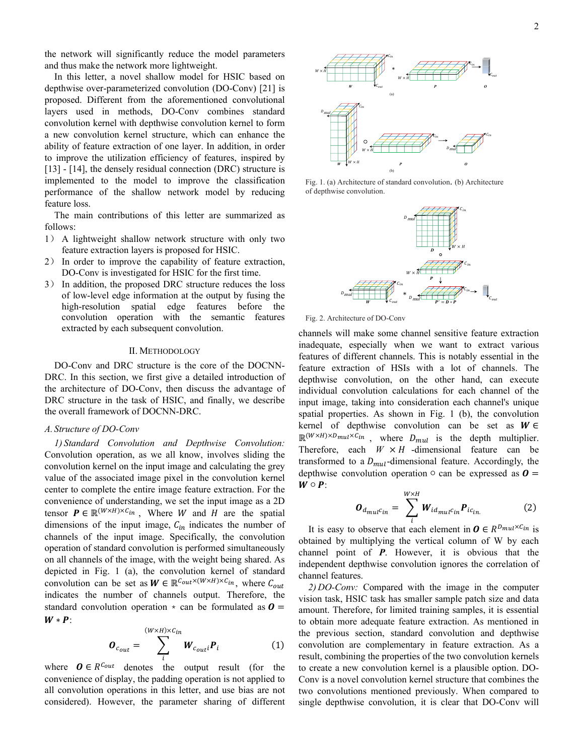the network will significantly reduce the model parameters and thus make the network more lightweight.

In this letter, a novel shallow model for HSIC based on depthwise over-parameterized convolution (DO-Conv) [21] is proposed. Different from the aforementioned convolutional layers used in methods, DO-Conv combines standard convolution kernel with depthwise convolution kernel to form a new convolution kernel structure, which can enhance the ability of feature extraction of one layer. In addition, in order to improve the utilization efficiency of features, inspired by [13] - [14], the densely residual connection (DRC) structure is implemented to the model to improve the classification performance of the shallow network model by reducing feature loss.

The main contributions of this letter are summarized as follows:

- 1) A lightweight shallow network structure with only two feature extraction layers is proposed for HSIC.
- 2) In order to improve the capability of feature extraction, DO-Conv is investigated for HSIC for the first time.
- 3) In addition, the proposed DRC structure reduces the loss of low-level edge information at the output by fusing the high-resolution spatial edge features before the convolution operation with the semantic features extracted by each subsequent convolution.

# Ⅱ. METHODOLOGY

DO-Conv and DRC structure is the core of the DOCNN-DRC. In this section, we first give a detailed introduction of the architecture of DO-Conv, then discuss the advantage of DRC structure in the task of HSIC, and finally, we describe the overall framework of DOCNN-DRC.

## *A. Structure of DO-Conv*

*1) Standard Convolution and Depthwise Convolution:* Convolution operation, as we all know, involves sliding the convolution kernel on the input image and calculating the grey value of the associated image pixel in the convolution kernel center to complete the entire image feature extraction. For the convenience of understanding, we set the input image as a 2D tensor  $P \in \mathbb{R}^{(W \times H) \times C_{in}}$ , Where W and H are the spatial dimensions of the input image,  $C_{in}$  indicates the number of channels of the input image. Specifically, the convolution operation of standard convolution is performed simultaneously on all channels of the image, with the weight being shared. As depicted in Fig. 1 (a), the convolution kernel of standard convolution can be set as  $W \in \mathbb{R}^{C_{out} \times (W \times H) \times C_{in}}$ , where  $C_{out}$ indicates the number of channels output. Therefore, the standard convolution operation  $\star$  can be formulated as  $\boldsymbol{0} =$  $W * P$ :

$$
\boldsymbol{O}_{c_{out}} = \sum_{i}^{(W \times H) \times c_{in}} \boldsymbol{W}_{c_{out}i} \boldsymbol{P}_{i}
$$
(1)

where  $\boldsymbol{O} \in R^{C_{out}}$  denotes the output result (for the convenience of display, the padding operation is not applied to all convolution operations in this letter, and use bias are not considered). However, the parameter sharing of different



Fig. 1. (a) Architecture of standard convolution. (b) Architecture of depthwise convolution.



Fig. 2. Architecture of DO-Conv

channels will make some channel sensitive feature extraction inadequate, especially when we want to extract various features of different channels. This is notably essential in the feature extraction of HSIs with a lot of channels. The depthwise convolution, on the other hand, can execute individual convolution calculations for each channel of the input image, taking into consideration each channel's unique spatial properties. As shown in Fig. 1 (b), the convolution kernel of depthwise convolution can be set as  $W \in$  $\mathbb{R}^{(W \times H) \times D_{mul} \times C_{in}}$ , where  $D_{mul}$  is the depth multiplier. Therefore, each  $W \times H$  -dimensional feature can be transformed to a  $D_{mul}$ -dimensional feature. Accordingly, the depthwise convolution operation  $\circ$  can be expressed as  $\boldsymbol{0} =$  $W \circ P$ :

$$
\boldsymbol{O}_{d_{mul}c_{in}} = \sum_{i}^{W \times H} \boldsymbol{W}_{id_{mul}c_{in}} \boldsymbol{P}_{ic_{in.}}
$$
 (2)

It is easy to observe that each element in  $\boldsymbol{0} \in R^{D_{mul} \times C_{in}}$  is obtained by multiplying the vertical column of W by each channel point of *P*. However, it is obvious that the independent depthwise convolution ignores the correlation of channel features.

*2) DO-Conv:* Compared with the image in the computer vision task, HSIC task has smaller sample patch size and data amount. Therefore, for limited training samples, it is essential to obtain more adequate feature extraction. As mentioned in the previous section, standard convolution and depthwise convolution are complementary in feature extraction. As a result, combining the properties of the two convolution kernels to create a new convolution kernel is a plausible option. DO-Conv is a novel convolution kernel structure that combines the two convolutions mentioned previously. When compared to single depthwise convolution, it is clear that DO-Conv will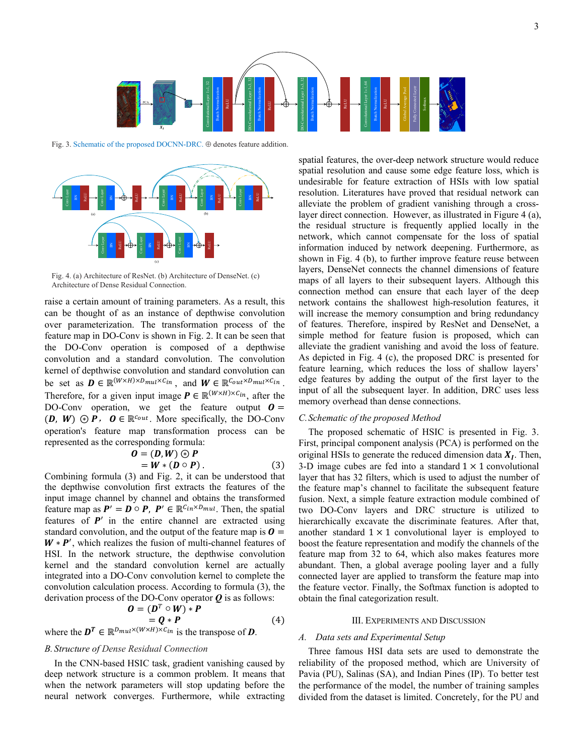

Fig. 3. Schematic of the proposed DOCNN-DRC. ⊕ denotes feature addition.



Fig. 4. (a) Architecture of ResNet. (b) Architecture of DenseNet. (c)

raise a certain amount of training parameters. As a result, this can be thought of as an instance of depthwise convolution over parameterization. The transformation process of the feature map in DO-Conv is shown in Fig. 2. It can be seen that the DO-Conv operation is composed of a depthwise convolution and a standard convolution. The convolution kernel of depthwise convolution and standard convolution can be set as  $\mathbf{D} \in \mathbb{R}^{(W \times H) \times D_{mul} \times C_{in}}$ , and  $\mathbf{W} \in \mathbb{R}^{C_{out} \times D_{mul} \times C_{in}}$ . Therefore, for a given input image  $P \in \mathbb{R}^{(W \times H) \times C_{in}}$ , after the DO-Conv operation, we get the feature output  $\boldsymbol{0} =$  $(D, W) \odot P$ ,  $O \in \mathbb{R}^{C_{out}}$ . More specifically, the DO-Conv operation's feature map transformation process can be represented as the corresponding formula:

$$
\begin{array}{l}\n\mathbf{O} = (\mathbf{D}, \mathbf{W}) \circledcirc \mathbf{P} \\
= \mathbf{W} * (\mathbf{D} \circ \mathbf{P})\,.\n\end{array} \tag{3}
$$

Combining formula (3) and Fig. 2, it can be understood that the depthwise convolution first extracts the features of the input image channel by channel and obtains the transformed feature map as  $P' = D \circ P$ ,  $P' \in \mathbb{R}^{C_{in} \times D_{mul}}$ . Then, the spatial features of  $P'$  in the entire channel are extracted using standard convolution, and the output of the feature map is  $\boldsymbol{0} =$  $W * P'$ , which realizes the fusion of multi-channel features of HSI. In the network structure, the depthwise convolution kernel and the standard convolution kernel are actually integrated into a DO-Conv convolution kernel to complete the convolution calculation process. According to formula (3), the derivation process of the DO-Conv operator *Q* is as follows:  $\mathbf{0} = (\mathbf{D}^T \circ \mathbf{W}) \cdot \mathbf{P}$ 

$$
J = (D^T \circ W) * P
$$
  
=  $Q * P$  (4)

where the  $D^T \in \mathbb{R}^{D_{mul} \times (W \times H) \times C_{in}}$  is the transpose of *D*.

## *B. Structure of Dense Residual Connection*

In the CNN-based HSIC task, gradient vanishing caused by deep network structure is a common problem. It means that when the network parameters will stop updating before the neural network converges. Furthermore, while extracting

spatial features, the over-deep network structure would reduce spatial resolution and cause some edge feature loss, which is undesirable for feature extraction of HSIs with low spatial resolution. Literatures have proved that residual network can alleviate the problem of gradient vanishing through a crosslayer direct connection. However, as illustrated in Figure 4 (a), the residual structure is frequently applied locally in the network, which cannot compensate for the loss of spatial information induced by network deepening. Furthermore, as shown in Fig. 4 (b), to further improve feature reuse between layers, DenseNet connects the channel dimensions of feature maps of all layers to their subsequent layers. Although this connection method can ensure that each layer of the deep network contains the shallowest high-resolution features, it will increase the memory consumption and bring redundancy of features. Therefore, inspired by ResNet and DenseNet, a simple method for feature fusion is proposed, which can alleviate the gradient vanishing and avoid the loss of feature. As depicted in Fig. 4 (c), the proposed DRC is presented for feature learning, which reduces the loss of shallow layers' edge features by adding the output of the first layer to the input of all the subsequent layer. In addition, DRC uses less memory overhead than dense connections.

#### *C.Schematic of the proposed Method*

The proposed schematic of HSIC is presented in Fig. 3. First, principal component analysis (PCA) is performed on the original HSIs to generate the reduced dimension data  $X_I$ . Then, 3-D image cubes are fed into a standard  $1 \times 1$  convolutional layer that has 32 filters, which is used to adjust the number of the feature map's channel to facilitate the subsequent feature fusion. Next, a simple feature extraction module combined of two DO-Conv layers and DRC structure is utilized to hierarchically excavate the discriminate features. After that, another standard  $1 \times 1$  convolutional layer is employed to boost the feature representation and modify the channels of the feature map from 32 to 64, which also makes features more abundant. Then, a global average pooling layer and a fully connected layer are applied to transform the feature map into the feature vector. Finally, the Softmax function is adopted to obtain the final categorization result.

#### Ⅲ. EXPERIMENTS AND DISCUSSION

## *A. Data sets and Experimental Setup*

Three famous HSI data sets are used to demonstrate the reliability of the proposed method, which are University of Pavia (PU), Salinas (SA), and Indian Pines (IP). To better test the performance of the model, the number of training samples divided from the dataset is limited. Concretely, for the PU and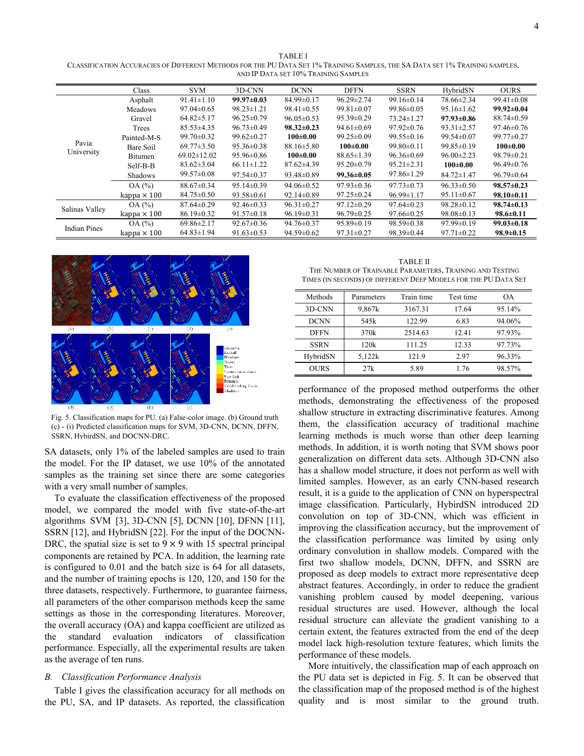TABLE I CLASSIFICATION ACCURACIES OF DIFFERENT METHODS FOR THE PU DATA SET 1% TRAINING SAMPLES, THE SA DATA SET 1% TRAINING SAMPLES, AND IP DATA SET 10% TRAINING SAMPLES

|                     | Class              | <b>SVM</b>        | 3D-CNN           | <b>DCNN</b>      | <b>DFFN</b>      | <b>SSRN</b>      | HybridSN         | <b>OURS</b>      |
|---------------------|--------------------|-------------------|------------------|------------------|------------------|------------------|------------------|------------------|
| Pavia<br>University | Asphalt            | $91.41 \pm 1.10$  | $99.97 \pm 0.03$ | $84.99 \pm 0.17$ | $96.29 \pm 2.74$ | $99.16 \pm 0.14$ | 78.66±2.34       | $99.41 \pm 0.08$ |
|                     | <b>Meadows</b>     | $97.04 \pm 0.65$  | $98.23 \pm 1.21$ | $98.41 \pm 0.55$ | $99.81 \pm 0.07$ | $99.86 \pm 0.05$ | $95.16 \pm 1.62$ | $99.92 \pm 0.04$ |
|                     | Gravel             | $64.82 \pm 5.17$  | $96.25 \pm 0.79$ | $96.05 \pm 0.53$ | $95.39 \pm 0.29$ | $73.24 \pm 1.27$ | $97.93 \pm 0.86$ | $88.74 \pm 0.59$ |
|                     | Trees              | $85.53\pm4.35$    | $96.73 \pm 0.49$ | $98.32 \pm 0.23$ | $94.61 \pm 0.69$ | $97.92 \pm 0.76$ | $93.31 \pm 2.57$ | $97.46 \pm 0.76$ |
|                     | Painted-M-S        | $99.70 \pm 0.32$  | $99.62 \pm 0.27$ | $100 \pm 0.00$   | $99.25 \pm 0.09$ | $99.55 \pm 0.16$ | $99.54 \pm 0.07$ | $99.77 \pm 0.27$ |
|                     | Bare Soil          | $69.77 \pm 3.50$  | $95.36 \pm 0.38$ | $88.16 \pm 5.80$ | $100 \pm 0.00$   | $99.80 \pm 0.11$ | 99.85±0.19       | $100 \pm 0.00$   |
|                     | Bitumen            | $69.02 \pm 12.02$ | $95.96 \pm 0.86$ | $100 \pm 0.00$   | $88.65 \pm 1.39$ | $96.36 \pm 0.69$ | $96.00 \pm 2.23$ | $98.79 \pm 0.21$ |
|                     | Self-B-B           | $83.62 \pm 3.04$  | $66.11 \pm 1.22$ | $87.62\pm4.39$   | $95.20 \pm 0.79$ | $95.21 \pm 2.31$ | $100 \pm 0.00$   | $96.49 \pm 0.76$ |
|                     | Shadows            | $99.57 \pm 0.08$  | $97.54 \pm 0.37$ | 93.48±0.89       | $99.36 \pm 0.05$ | $97.86 \pm 1.29$ | $84.72 \pm 1.47$ | $96.79 \pm 0.64$ |
|                     | OA(%)              | $88.67 \pm 0.34$  | $95.14 \pm 0.39$ | $94.06 \pm 0.52$ | $97.93 \pm 0.36$ | $97.73 \pm 0.73$ | $96.33 \pm 0.50$ | $98.57 \pm 0.23$ |
|                     | kappa $\times$ 100 | $84.75 \pm 0.50$  | $93.58 \pm 0.61$ | $92.14 \pm 0.89$ | $97.25 \pm 0.24$ | $96.99 \pm 1.17$ | $95.11 \pm 0.67$ | $98.10 \pm 0.11$ |
| Salinas Valley      | OA(%)              | $87.64 \pm 0.29$  | $92.46 \pm 0.33$ | $96.31 \pm 0.27$ | $97.12 \pm 0.29$ | $97.64 \pm 0.23$ | $98.28 \pm 0.12$ | $98.74 \pm 0.13$ |
|                     | kappa $\times$ 100 | $86.19 \pm 0.32$  | $91.57 \pm 0.18$ | $96.19 \pm 0.31$ | $96.79 \pm 0.25$ | $97.66 \pm 0.25$ | $98.08 \pm 0.13$ | $98.6 \pm 0.11$  |
| <b>Indian Pines</b> | OA(%)              | $69.86 \pm 2.17$  | $92.67 \pm 0.36$ | $94.76 \pm 0.37$ | $95.89 \pm 0.19$ | $98.59 \pm 0.38$ | $97.99 \pm 0.19$ | $99.03 \pm 0.18$ |
|                     | kappa $\times$ 100 | $64.83 \pm 1.94$  | $91.63 \pm 0.53$ | $94.59 \pm 0.62$ | $97.31 \pm 0.27$ | 98.39±0.44       | $97.71 \pm 0.22$ | $98.9 \pm 0.15$  |



Fig. 5. Classification maps for PU. (a) False-color image. (b) Ground truth (c) - (i) Predicted classification maps for SVM, 3D-CNN, DCNN, DFFN, SSRN, HybirdSN, and DOCNN-DRC.

SA datasets, only 1% of the labeled samples are used to train the model. For the IP dataset, we use 10% of the annotated samples as the training set since there are some categories with a very small number of samples.

To evaluate the classification effectiveness of the proposed model, we compared the model with five state-of-the-art algorithms SVM [3], 3D-CNN [5], DCNN [10], DFNN [11], SSRN [12], and HybridSN [22]. For the input of the DOCNN-DRC, the spatial size is set to  $9 \times 9$  with 15 spectral principal components are retained by PCA. In addition, the learning rate is configured to 0.01 and the batch size is 64 for all datasets, and the number of training epochs is 120, 120, and 150 for the three datasets, respectively. Furthermore, to guarantee fairness, all parameters of the other comparison methods keep the same settings as those in the corresponding literatures. Moreover, the overall accuracy (OA) and kappa coefficient are utilized as the standard evaluation indicators of classification performance. Especially, all the experimental results are taken as the average of ten runs.

## *B. Classification Performance Analysis*

Table I gives the classification accuracy for all methods on the PU, SA, and IP datasets. As reported, the classification

TABLE Ⅱ THE NUMBER OF TRAINABLE PARAMETERS, TRAINING AND TESTING TIMES (IN SECONDS) OF DIFFERENT DEEP MODELS FOR THE PU DATA SET

| Methods     | Parameters | Train time | Test time | <b>OA</b> |
|-------------|------------|------------|-----------|-----------|
| 3D-CNN      | 9,867k     | 3167.31    | 17.64     | 95.14%    |
| <b>DCNN</b> | 545k       | 122.99     | 6.83      | 94.06%    |
| <b>DFFN</b> | 370k       | 2514.63    | 12.41     | 97.93%    |
| <b>SSRN</b> | 120k       | 111.25     | 12.33     | 97.73%    |
| HybridSN    | 5.122k     | 121.9      | 2.97      | 96.33%    |
| <b>OURS</b> | 27k        | 5.89       | 1.76      | 98.57%    |

performance of the proposed method outperforms the other methods, demonstrating the effectiveness of the proposed shallow structure in extracting discriminative features. Among them, the classification accuracy of traditional machine learning methods is much worse than other deep learning methods. In addition, it is worth noting that SVM shows poor generalization on different data sets. Although 3D-CNN also has a shallow model structure, it does not perform as well with limited samples. However, as an early CNN-based research result, it is a guide to the application of CNN on hyperspectral image classification. Particularly, HybirdSN introduced 2D convolution on top of 3D-CNN, which was efficient in improving the classification accuracy, but the improvement of the classification performance was limited by using only ordinary convolution in shallow models. Compared with the first two shallow models, DCNN, DFFN, and SSRN are proposed as deep models to extract more representative deep abstract features. Accordingly, in order to reduce the gradient vanishing problem caused by model deepening, various residual structures are used. However, although the local residual structure can alleviate the gradient vanishing to a certain extent, the features extracted from the end of the deep model lack high-resolution texture features, which limits the performance of these models.

More intuitively, the classification map of each approach on the PU data set is depicted in Fig. 5. It can be observed that the classification map of the proposed method is of the highest quality and is most similar to the ground truth.